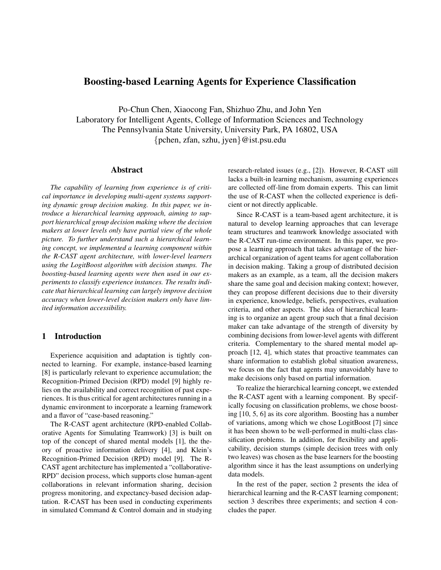# **Boosting-based Learning Agents for Experience Classification**

Po-Chun Chen, Xiaocong Fan, Shizhuo Zhu, and John Yen Laboratory for Intelligent Agents, College of Information Sciences and Technology The Pennsylvania State University, University Park, PA 16802, USA {pchen, zfan, szhu, jyen}@ist.psu.edu

## **Abstract**

*The capability of learning from experience is of critical importance in developing multi-agent systems supporting dynamic group decision making. In this paper, we introduce a hierarchical learning approach, aiming to support hierarchical group decision making where the decision makers at lower levels only have partial view of the whole picture. To further understand such a hierarchical learning concept, we implemented a learning component within the R-CAST agent architecture, with lower-level learners using the LogitBoost algorithm with decision stumps. The boosting-based learning agents were then used in our experiments to classify experience instances. The results indicate that hierarchical learning can largely improve decision accuracy when lower-level decision makers only have limited information accessibility.*

## **1 Introduction**

Experience acquisition and adaptation is tightly connected to learning. For example, instance-based learning [8] is particularly relevant to experience accumulation; the Recognition-Primed Decision (RPD) model [9] highly relies on the availability and correct recognition of past experiences. It is thus critical for agent architectures running in a dynamic environment to incorporate a learning framework and a flavor of "case-based reasoning."

The R-CAST agent architecture (RPD-enabled Collaborative Agents for Simulating Teamwork) [3] is built on top of the concept of shared mental models [1], the theory of proactive information delivery [4], and Klein's Recognition-Primed Decision (RPD) model [9]. The R-CAST agent architecture has implemented a "collaborative-RPD" decision process, which supports close human-agent collaborations in relevant information sharing, decision progress monitoring, and expectancy-based decision adaptation. R-CAST has been used in conducting experiments in simulated Command & Control domain and in studying

research-related issues (e.g., [2]). However, R-CAST still lacks a built-in learning mechanism, assuming experiences are collected off-line from domain experts. This can limit the use of R-CAST when the collected experience is deficient or not directly applicable.

Since R-CAST is a team-based agent architecture, it is natural to develop learning approaches that can leverage team structures and teamwork knowledge associated with the R-CAST run-time environment. In this paper, we propose a learning approach that takes advantage of the hierarchical organization of agent teams for agent collaboration in decision making. Taking a group of distributed decision makers as an example, as a team, all the decision makers share the same goal and decision making context; however, they can propose different decisions due to their diversity in experience, knowledge, beliefs, perspectives, evaluation criteria, and other aspects. The idea of hierarchical learning is to organize an agent group such that a final decision maker can take advantage of the strength of diversity by combining decisions from lower-level agents with different criteria. Complementary to the shared mental model approach [12, 4], which states that proactive teammates can share information to establish global situation awareness, we focus on the fact that agents may unavoidably have to make decisions only based on partial information.

To realize the hierarchical learning concept, we extended the R-CAST agent with a learning component. By specifically focusing on classification problems, we chose boosting [10, 5, 6] as its core algorithm. Boosting has a number of variations, among which we chose LogitBoost [7] since it has been shown to be well-performed in multi-class classification problems. In addition, for flexibility and applicability, decision stumps (simple decision trees with only two leaves) was chosen as the base learners for the boosting algorithm since it has the least assumptions on underlying data models.

In the rest of the paper, section 2 presents the idea of hierarchical learning and the R-CAST learning component; section 3 describes three experiments; and section 4 concludes the paper.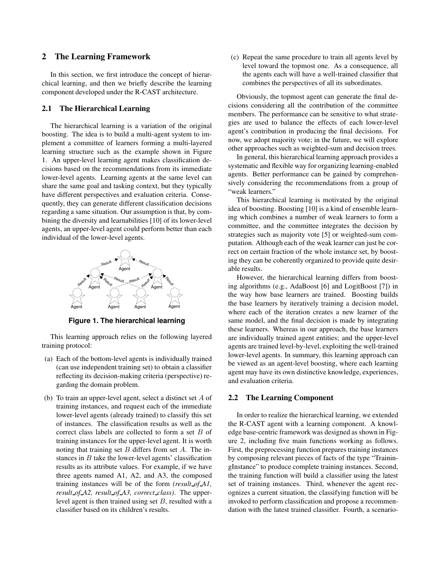## **2 The Learning Framework**

In this section, we first introduce the concept of hierarchical learning, and then we briefly describe the learning component developed under the R-CAST architecture.

## **2.1 The Hierarchical Learning**

The hierarchical learning is a variation of the original boosting. The idea is to build a multi-agent system to implement a committee of learners forming a multi-layered learning structure such as the example shown in Figure 1. An upper-level learning agent makes classification decisions based on the recommendations from its immediate lower-level agents. Learning agents at the same level can share the same goal and tasking context, but they typically have different perspectives and evaluation criteria. Consequently, they can generate different classification decisions regarding a same situation. Our assumption is that, by combining the diversity and learnabilities [10] of its lower-level agents, an upper-level agent could perform better than each individual of the lower-level agents.



**Figure 1. The hierarchical learning**

This learning approach relies on the following layered training protocol:

- (a) Each of the bottom-level agents is individually trained (can use independent training set) to obtain a classifier reflecting its decision-making criteria (perspective) regarding the domain problem.
- (b) To train an upper-level agent, select a distinct set A of training instances, and request each of the immediate lower-level agents (already trained) to classify this set of instances. The classification results as well as the correct class labels are collected to form a set B of training instances for the upper-level agent. It is worth noting that training set  $B$  differs from set  $A$ . The instances in  $B$  take the lower-level agents' classification results as its attribute values. For example, if we have three agents named A1, A2, and A3, the composed training instances will be of the form *(result\_of\_A1, result of A2, result of A3, correct class)*. The upperlevel agent is then trained using set B, resulted with a classifier based on its children's results.

(c) Repeat the same procedure to train all agents level by level toward the topmost one. As a consequence, all the agents each will have a well-trained classifier that combines the perspectives of all its subordinates.

Obviously, the topmost agent can generate the final decisions considering all the contribution of the committee members. The performance can be sensitive to what strategies are used to balance the effects of each lower-level agent's contribution in producing the final decisions. For now, we adopt majority vote; in the future, we will explore other approaches such as weighted-sum and decision trees.

In general, this hierarchical learning approach provides a systematic and flexible way for organizing learning-enabled agents. Better performance can be gained by comprehensively considering the recommendations from a group of "weak learners."

This hierarchical learning is motivated by the original idea of boosting. Boosting [10] is a kind of ensemble learning which combines a number of weak learners to form a committee, and the committee integrates the decision by strategies such as majority vote [5] or weighted-sum computation. Although each of the weak learner can just be correct on certain fraction of the whole instance set, by boosting they can be coherently organized to provide quite desirable results.

However, the hierarchical learning differs from boosting algorithms (e.g., AdaBoost [6] and LogitBoost [7]) in the way how base learners are trained. Boosting builds the base learners by iteratively training a decision model, where each of the iteration creates a new learner of the same model, and the final decision is made by integrating these learners. Whereas in our approach, the base learners are individually trained agent entities; and the upper-level agents are trained level-by-level, exploiting the well-trained lower-level agents. In summary, this learning approach can be viewed as an agent-level boosting, where each learning agent may have its own distinctive knowledge, experiences, and evaluation criteria.

#### **2.2 The Learning Component**

In order to realize the hierarchical learning, we extended the R-CAST agent with a learning component. A knowledge base-centric framework was designed as shown in Figure 2, including five main functions working as follows. First, the preprocessing function prepares training instances by composing relevant pieces of facts of the type "TrainingInstance" to produce complete training instances. Second, the training function will build a classifier using the latest set of training instances. Third, whenever the agent recognizes a current situation, the classifying function will be invoked to perform classification and propose a recommendation with the latest trained classifier. Fourth, a scenario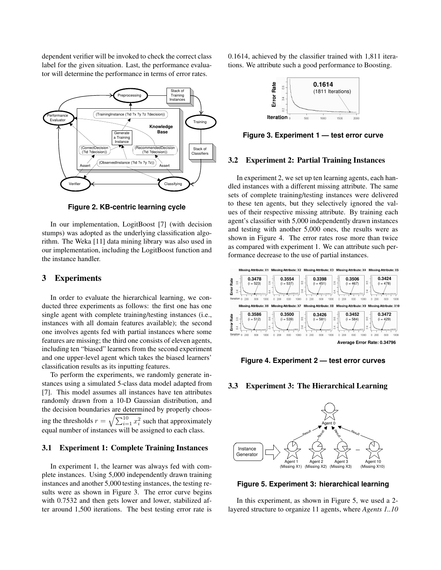dependent verifier will be invoked to check the correct class label for the given situation. Last, the performance evaluator will determine the performance in terms of error rates.



**Figure 2. KB-centric learning cycle**

In our implementation, LogitBoost [7] (with decision stumps) was adopted as the underlying classification algorithm. The Weka [11] data mining library was also used in our implementation, including the LogitBoost function and the instance handler.

## **3 Experiments**

In order to evaluate the hierarchical learning, we conducted three experiments as follows: the first one has one single agent with complete training/testing instances (i.e., instances with all domain features available); the second one involves agents fed with partial instances where some features are missing; the third one consists of eleven agents, including ten "biased" learners from the second experiment and one upper-level agent which takes the biased learners' classification results as its inputting features.

To perform the experiments, we randomly generate instances using a simulated 5-class data model adapted from [7]. This model assumes all instances have ten attributes randomly drawn from a 10-D Gaussian distribution, and the decision boundaries are determined by properly choosing the thresholds  $r = \sqrt{\sum_{i=1}^{10} x_i^2}$  such that approximately equal number of instances will be assigned to each class.

#### **3.1 Experiment 1: Complete Training Instances**

In experiment 1, the learner was always fed with complete instances. Using 5,000 independently drawn training instances and another 5,000 testing instances, the testing results were as shown in Figure 3. The error curve begins with 0.7532 and then gets lower and lower, stabilized after around 1,500 iterations. The best testing error rate is 0.1614, achieved by the classifier trained with 1,811 iterations. We attribute such a good performance to Boosting.



**Figure 3. Experiment 1 — test error curve**

## **3.2 Experiment 2: Partial Training Instances**

In experiment 2, we set up ten learning agents, each handled instances with a different missing attribute. The same sets of complete training/testing instances were delivered to these ten agents, but they selectively ignored the values of their respective missing attribute. By training each agent's classifier with 5,000 independently drawn instances and testing with another 5,000 ones, the results were as shown in Figure 4. The error rates rose more than twice as compared with experiment 1. We can attribute such performance decrease to the use of partial instances.



**Figure 4. Experiment 2 — test error curves**

#### **3.3 Experiment 3: The Hierarchical Learning**



**Figure 5. Experiment 3: hierarchical learning**

In this experiment, as shown in Figure 5, we used a 2 layered structure to organize 11 agents, where *Agents 1..10*